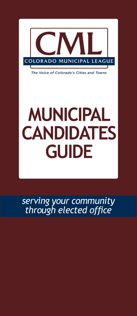

*The Voice of Colorado's Cities and Towns*

# **municipal CANDIDATES GUIDE**

*serving your community through elected office*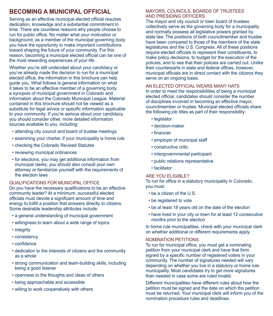# **BECOMING A MUNICIPAL OFFICIAL**

Serving as an effective municipal elected official requires dedication, knowledge and a substantial commitment in time. There are countless reasons why people choose to run for public office. No matter what your motivation or background, as a member of the municipal governing body you have the opportunity to make important contributions toward shaping the future of your community. For this reason, becoming a municipal elected official can be one of the most rewarding experiences of your life.

Whether you're still undecided about your candidacy or you've already made the decision to run for a municipal elected office, the information in this brochure can help guide you. What follows is general information on what it takes to be an effective member of a governing body, a synopsis of municipal government in Colorado and information about the Colorado Municipal League. Material contained in this brochure should not be viewed as a substitute for legal advice or specific information applicable to your community. If you're serious about your candidacy, you should consider other, more detailed information sources available to you, including:

- attending city council and board of trustee meetings
- examining your charter, if your municipality is home rule
- checking the Colorado Revised Statutes
- reviewing municipal ordinances
- for elections, you may get additional information from municipal clerks; you should also consult your own attorney or familiarize yourself with the requirements of the election laws

#### Qualifications for Municipal Office

Do you have the necessary qualifications to be an effective community leader? At a minimum, successful elected officials must devote a significant amount of time and energy to fulfill a position that answers directly to citizens. Some desirable leadership attributes include:

- a general understanding of municipal government
- willingness to learn about a wide range of topics
- integrity
- consistency
- confidence
- dedication to the interests of citizens and the community as a whole
- strong communication and team-building skills, including being a good listener
- openness to the thoughts and ideas of others
- being approachable and accessible
- willing to work cooperatively with others

#### Mayors, Councils, Boards of Trustees and Presiding Officers

The mayor and city council or town board of trustees collectively serve as the governing body for a municipality and normally possess all legislative powers granted by state law. The positions of both councilmember and trustee have been compared to those of the members of the state legislatures and the U.S. Congress. All of these positions require elected officials to represent their constituents, to make policy decisions, to budget for the execution of the policies, and to see that their policies are carried out. Unlike their counterparts in state and federal offices, however, municipal officials are in direct contact with the citizens they serve on an ongoing basis.

#### An Elected Official Wears Many Hats

In order to meet the responsibilities of being a municipal elected official, candidates should consider the number of disciplines involved in becoming an effective mayor, councilmember or trustee. Municipal elected officials share the following job titles as part of their responsibility:

- legislator
- decision-maker
- financier
- employer of municipal staff
- constructive critic
- intergovernmental participant
- public relations representative
- facilitator

#### ARE YOU ELIGIBLE?

To run for office in a statutory municipality in Colorado, you must:

- be a citizen of the U.S.
- be registered to vote
- be at least 18 years old on the date of the election
- have lived in your city or town for at least 12 consecutive months prior to the election

In home rule municipalities, check with your municipal clerk on whether additional or different requirements apply.

#### Nomination Petitions

To run for municipal office, you must get a nominating petition from your municipal clerk and have that form signed by a specific number of registered voters in your community. The number of signatures needed will vary depending on whether you live in a statutory or home rule municipality. Most candidates try to get more signatures than needed in case some are ruled invalid.

Different municipalities have different rules about how the petition must be signed and the date on which the petition must be returned. Your municipal clerk will inform you of the nomination procedure rules and deadlines.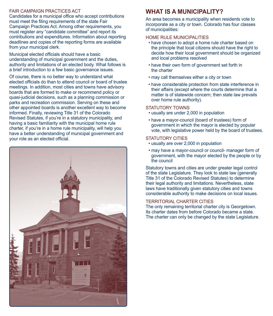#### Fair Campaign Practices Act

Candidates for a municipal office who accept contributions must meet the filing requirements of the state Fair Campaign Practices Act. Among other requirements, you must register any "candidate committee" and report its contributions and expenditures. Information about reporting deadlines and copies of the reporting forms are available from your municipal clerk.

Municipal elected officials should have a basic understanding of municipal government and the duties, authority and limitations of an elected body. What follows is a brief introduction to a few basic governance issues.

Of course, there is no better way to understand what elected officials do than to attend council or board of trustee meetings. In addition, most cities and towns have advisory boards that are formed to make or recommend policy or quasi-judicial decisions, such as a planning commission or parks and recreation commission. Serving on these and other appointed boards is another excellent way to become informed. Finally, reviewing Title 31 of the Colorado Revised Statutes, if you're in a statutory municipality, and having a basic familiarity with the municipal home rule charter, if you're in a home rule municipality, will help you have a better understanding of municipal government and your role as an elected official.



# **What Is a Municipality?**

An area becomes a municipality when residents vote to incorporate as a city or town. Colorado has four classes of municipalities:

#### Home Rule Municipalities

- have chosen to adopt a home rule charter based on the principle that local citizens should have the right to decide how their local government should be organized and local problems resolved
- have their own form of government set forth in the charter
- may call themselves either a city or town
- have considerable protection from state interference in their affairs (except where the courts determine that a matter is of statewide concern; then state law prevails over home rule authority).

#### STATUTORY TOWNS

- usually are under 2,000 in population
- have a mayor-council (board of trustees) form of government in which the mayor is elected by popular vote, with legislative power held by the board of trustees.

#### STATUTORY CITIES

- usually are over 2,000 in population
- may have a mayor-council or council- manager form of government, with the mayor elected by the people or by the council

Statutory towns and cities are under greater legal control of the state Legislature. They look to state law (generally Title 31 of the Colorado Revised Statutes) to determine their legal authority and limitations. Nevertheless, state laws have traditionally given statutory cities and towns considerable authority to make decisions on local issues.

#### Territorial Charter Cities

The only remaining territorial charter city is Georgetown. Its charter dates from before Colorado became a state. The charter can only be changed by the state Legislature.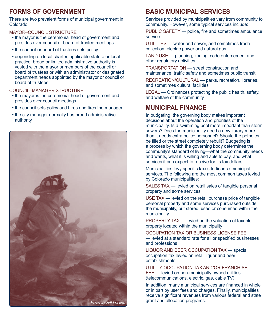# **Forms of Government**

There are two prevalent forms of municipal government in Colorado.

Mayor–Council structure

- the mayor is the ceremonial head of government and presides over council or board of trustee meetings
- the council or board of trustees sets policy
- depending on local charter, applicable statute or local practice, broad or limited administrative authority is vested with the mayor or members of the council or board of trustees or with an administrator or designated department heads appointed by the mayor or council or board of trustees

#### Council–Manager structure

- the mayor is the ceremonial head of government and presides over council meetings
- the council sets policy and hires and fires the manager
- the city manager normally has broad administrative authority



# **Basic Municipal Services**

Services provided by municipalities vary from community to community. However, some typical services include:

PUBLIC SAFETY — police, fire and sometimes ambulance service

UTILITIES — water and sewer, and sometimes trash collection, electric power and natural gas

LAND USE - planning, zoning, code enforcement and other regulatory activities

Transportation — street construction and maintenance, traffic safety and sometimes public transit

RECREATION/CULTURAL — parks, recreation, libraries, and sometimes cultural facilities

LEGAL — Ordinances protecting the public health, safety, and welfare of the community

# **Municipal Finance**

In budgeting, the governing body makes important decisions about the operation and priorities of the municipality. Is a swimming pool more important than storm sewers? Does the municipality need a new library more than it needs extra police personnel? Should the potholes be filled or the street completely rebuilt? Budgeting is a process by which the governing body determines the community's standard of living—what the community needs and wants, what it is willing and able to pay, and what services it can expect to receive for its tax dollars.

Municipalities levy specific taxes to finance municipal services. The following are the most common taxes levied by Colorado municipalities:

SALES TAX — levied on retail sales of tangible personal property and some services

USE TAX — levied on the retail purchase price of tangible personal property and some services purchased outside the municipality, but stored, used or consumed within the municipality

PROPERTY TAX — levied on the valuation of taxable property located within the municipality

Occupation tax or business license fee — levied at a standard rate for all or specified businesses and professions

Liquor and beer occupation tax — special occupation tax levied on retail liquor and beer establishments

Utility occupation tax and/or franchise FEE — levied on non-municipally owned utilities (telecommunications, electric, gas, cable TV)

In addition, many municipal services are financed in whole or in part by user fees and charges. Finally, municipalities receive significant revenues from various federal and state grant and allocation programs. *Photo by Jeff Forster.*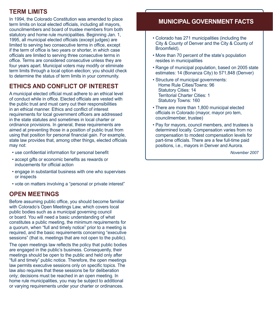# **Term Limits**

In 1994, the Colorado Constitution was amended to place term limits on local elected officials, including all mayors, councilmembers and board of trustee members from both statutory and home rule municipalities. Beginning Jan. 1, 1995, all municipal elected officials (except judges) are limited to serving two consecutive terms in office, except if the term of office is two years or shorter, in which case officials are limited to serving three consecutive terms in office. Terms are considered consecutive unless they are four years apart. Municipal voters may modify or eliminate term limits through a local option election; you should check to determine the status of term limits in your community.

# **Ethics and Conflict of Interest**

A municipal elected official must adhere to an ethical level of conduct while in office. Elected officials are vested with the public trust and must carry out their responsibilities in an ethical manner. Ethics and conflict of interest requirements for local government officers are addressed in the state statutes and sometimes in local charter or ordinance provisions. In general, these requirements are aimed at preventing those in a position of public trust from using that position for personal financial gain. For example, state law provides that, among other things, elected officials may not:

- use confidential information for personal benefit
- accept gifts or economic benefits as rewards or inducements for official action
- engage in substantial business with one who supervises or inspects
- vote on matters involving a "personal or private interest"

# **Open Meetings**

Before assuming public office, you should become familiar with Colorado's Open Meetings Law, which covers local public bodies such as a municipal governing council or board. You will need a basic understanding of what constitutes a public meeting, the minimum requirements for a quorum, when "full and timely notice" prior to a meeting is required, and the basic requirements concerning "executive sessions" (that is, meetings that are not open to the public).

The open meetings law reflects the policy that public bodies are engaged in the public's business. Consequently, their meetings should be open to the public and held only after "full and timely" public notice. Therefore, the open meetings law permits executive sessions only on specific topics. The law also requires that these sessions be for deliberation only; decisions must be reached in an open meeting. In home rule municipalities, you may be subject to additional or varying requirements under your charter or ordinances.

# **municipal government facts**

- Colorado has 271 municipalities (including the City & County of Denver and the City & County of Broomfield).
- More than 70 percent of the state's population resides in municipalities
- Range of municipal population, based on 2005 state estimates: 14 (Bonanza City) to 571,848 (Denver)
- Structure of municipal governments: Home Rule Cities/Towns: 96 Statutory Cities: 14 Territorial Charter Cities: 1 Statutory Towns: 160
- There are more than 1,800 municipal elected officials in Colorado (mayor, mayor pro tem, councilmember, trustee)
- Pay for mayors, council members, and trustees is determined locally. Compensation varies from no compensation to modest compensation levels for part-time officials. There are a few full-time paid positions, i.e., mayors in Denver and Aurora.

*November 2007*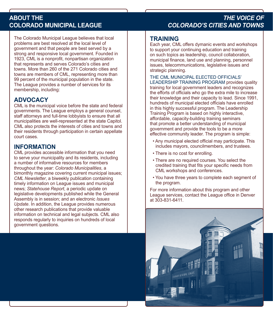The Colorado Municipal League believes that local problems are best resolved at the local level of government and that people are best served by a strong and responsive local government. Founded in 1923, CML is a nonprofit, nonpartisan organization that represents and serves Colorado's cities and towns. More than 260 of the 271 Colorado cities and towns are members of CML, representing more than 99 percent of the municipal population in the state. The League provides a number of services for its membership, including:

# **Advocacy**

CML is the municipal voice before the state and federal governments. The League employs a general counsel, staff attorneys and full-time lobbyists to ensure that all municipalities are well-represented at the state Capitol. CML also protects the interests of cities and towns and their residents through participation in certain appellate court cases.

# **Information**

CML provides accessible information that you need to serve your municipality and its residents, including a number of informative resources for members throughout the year: *Colorado Municipalities*, a bimonthly magazine covering current municipal issues; *CML Newsletter*, a biweekly publication containing timely information on League issues and municipal news; *Statehouse Report*, a periodic update on legislative developments published while the General Assembly is in session; and an electronic *Issues Update*. In addition, the League provides numerous other research publications that provide valuable information on technical and legal subjects. CML also responds regularly to inquiries on hundreds of local government questions.

# **ABOUT THE** *the voice of* **COLORADO MUNICIPAL LEAGUE** *Colorado's cities and towns*

### **Training**

Each year, CML offers dymanic events and workshops to support your continuing education and training on such topics as leadership, council collaboration, municipal finance, land use and planning, personnel issues, telecommunications, legislative issues and strategic planning.

The CML Municipal Elected Officials' Leadership Training Program provides quality training for local government leaders and recognizes the efforts of officials who go the extra mile to increase their knowledge and their capacity to lead. Since 1991, hundreds of municipal elected officials have enrolled in this highly successful program. The Leadership Training Program is based on highly interactive, affordable, capacity-building training seminars that promote a better understanding of municipal government and provide the tools to be a more effective community leader. The program is simple:

- Any municipal elected official may participate. This includes mayors, councilmembers, and trustees.
- There is no cost for enrolling.
- There are no required courses. You select the credited training that fits your specific needs from CML workshops and conferences.
- You have three years to complete each segment of the program.

For more information about this program and other League services, contact the League office in Denver at 303-831-6411.